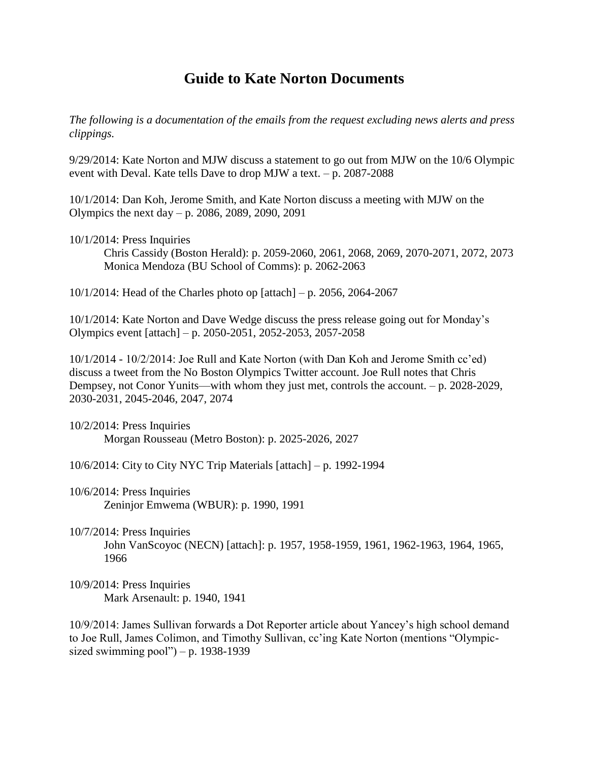## **Guide to Kate Norton Documents**

*The following is a documentation of the emails from the request excluding news alerts and press clippings.* 

9/29/2014: Kate Norton and MJW discuss a statement to go out from MJW on the 10/6 Olympic event with Deval. Kate tells Dave to drop MJW a text. – p. 2087-2088

10/1/2014: Dan Koh, Jerome Smith, and Kate Norton discuss a meeting with MJW on the Olympics the next day – p. 2086, 2089, 2090, 2091

10/1/2014: Press Inquiries

Chris Cassidy (Boston Herald): p. 2059-2060, 2061, 2068, 2069, 2070-2071, 2072, 2073 Monica Mendoza (BU School of Comms): p. 2062-2063

10/1/2014: Head of the Charles photo op [attach] – p. 2056, 2064-2067

10/1/2014: Kate Norton and Dave Wedge discuss the press release going out for Monday's Olympics event [attach] – p. 2050-2051, 2052-2053, 2057-2058

10/1/2014 - 10/2/2014: Joe Rull and Kate Norton (with Dan Koh and Jerome Smith cc'ed) discuss a tweet from the No Boston Olympics Twitter account. Joe Rull notes that Chris Dempsey, not Conor Yunits—with whom they just met, controls the account. – p. 2028-2029, 2030-2031, 2045-2046, 2047, 2074

10/2/2014: Press Inquiries Morgan Rousseau (Metro Boston): p. 2025-2026, 2027

10/6/2014: City to City NYC Trip Materials [attach] – p. 1992-1994

- 10/6/2014: Press Inquiries Zeninjor Emwema (WBUR): p. 1990, 1991
- 10/7/2014: Press Inquiries

John VanScoyoc (NECN) [attach]: p. 1957, 1958-1959, 1961, 1962-1963, 1964, 1965, 1966

10/9/2014: Press Inquiries Mark Arsenault: p. 1940, 1941

10/9/2014: James Sullivan forwards a Dot Reporter article about Yancey's high school demand to Joe Rull, James Colimon, and Timothy Sullivan, cc'ing Kate Norton (mentions "Olympicsized swimming pool") – p.  $1938-1939$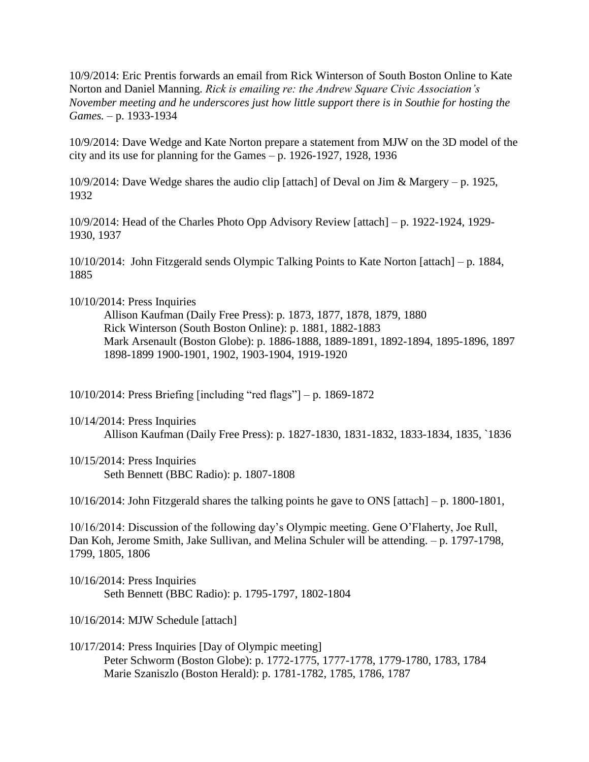10/9/2014: Eric Prentis forwards an email from Rick Winterson of South Boston Online to Kate Norton and Daniel Manning. *Rick is emailing re: the Andrew Square Civic Association's November meeting and he underscores just how little support there is in Southie for hosting the Games.* – p. 1933-1934

10/9/2014: Dave Wedge and Kate Norton prepare a statement from MJW on the 3D model of the city and its use for planning for the Games – p. 1926-1927, 1928, 1936

10/9/2014: Dave Wedge shares the audio clip [attach] of Deval on Jim & Margery – p. 1925, 1932

10/9/2014: Head of the Charles Photo Opp Advisory Review [attach] – p. 1922-1924, 1929- 1930, 1937

10/10/2014: John Fitzgerald sends Olympic Talking Points to Kate Norton [attach] – p. 1884, 1885

10/10/2014: Press Inquiries

Allison Kaufman (Daily Free Press): p. 1873, 1877, 1878, 1879, 1880 Rick Winterson (South Boston Online): p. 1881, 1882-1883 Mark Arsenault (Boston Globe): p. 1886-1888, 1889-1891, 1892-1894, 1895-1896, 1897 1898-1899 1900-1901, 1902, 1903-1904, 1919-1920

10/10/2014: Press Briefing [including "red flags"] – p. 1869-1872

10/14/2014: Press Inquiries Allison Kaufman (Daily Free Press): p. 1827-1830, 1831-1832, 1833-1834, 1835, `1836

10/15/2014: Press Inquiries Seth Bennett (BBC Radio): p. 1807-1808

10/16/2014: John Fitzgerald shares the talking points he gave to ONS [attach] – p. 1800-1801,

10/16/2014: Discussion of the following day's Olympic meeting. Gene O'Flaherty, Joe Rull, Dan Koh, Jerome Smith, Jake Sullivan, and Melina Schuler will be attending. – p. 1797-1798, 1799, 1805, 1806

10/16/2014: Press Inquiries Seth Bennett (BBC Radio): p. 1795-1797, 1802-1804

10/16/2014: MJW Schedule [attach]

10/17/2014: Press Inquiries [Day of Olympic meeting] Peter Schworm (Boston Globe): p. 1772-1775, 1777-1778, 1779-1780, 1783, 1784 Marie Szaniszlo (Boston Herald): p. 1781-1782, 1785, 1786, 1787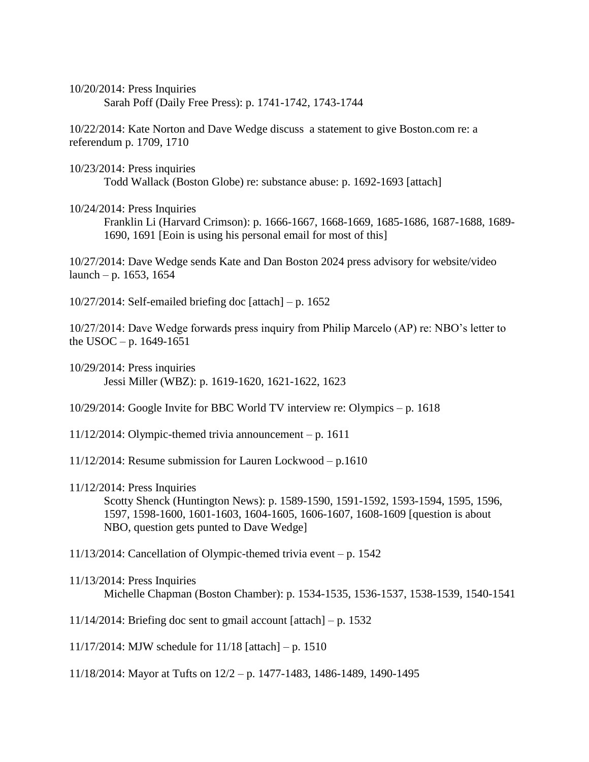10/20/2014: Press Inquiries Sarah Poff (Daily Free Press): p. 1741-1742, 1743-1744

10/22/2014: Kate Norton and Dave Wedge discuss a statement to give Boston.com re: a referendum p. 1709, 1710

10/23/2014: Press inquiries Todd Wallack (Boston Globe) re: substance abuse: p. 1692-1693 [attach]

## 10/24/2014: Press Inquiries

Franklin Li (Harvard Crimson): p. 1666-1667, 1668-1669, 1685-1686, 1687-1688, 1689- 1690, 1691 [Eoin is using his personal email for most of this]

10/27/2014: Dave Wedge sends Kate and Dan Boston 2024 press advisory for website/video launch – p. 1653, 1654

 $10/27/2014$ : Self-emailed briefing doc [attach] – p. 1652

10/27/2014: Dave Wedge forwards press inquiry from Philip Marcelo (AP) re: NBO's letter to the USOC – p.  $1649-1651$ 

10/29/2014: Press inquiries Jessi Miller (WBZ): p. 1619-1620, 1621-1622, 1623

10/29/2014: Google Invite for BBC World TV interview re: Olympics – p. 1618

 $11/12/2014$ : Olympic-themed trivia announcement – p. 1611

11/12/2014: Resume submission for Lauren Lockwood – p.1610

11/12/2014: Press Inquiries

Scotty Shenck (Huntington News): p. 1589-1590, 1591-1592, 1593-1594, 1595, 1596, 1597, 1598-1600, 1601-1603, 1604-1605, 1606-1607, 1608-1609 [question is about NBO, question gets punted to Dave Wedge]

11/13/2014: Cancellation of Olympic-themed trivia event – p. 1542

11/14/2014: Briefing doc sent to gmail account  $[attack] - p. 1532$ 

11/17/2014: MJW schedule for 11/18 [attach] – p. 1510

11/18/2014: Mayor at Tufts on 12/2 – p. 1477-1483, 1486-1489, 1490-1495

<sup>11/13/2014:</sup> Press Inquiries Michelle Chapman (Boston Chamber): p. 1534-1535, 1536-1537, 1538-1539, 1540-1541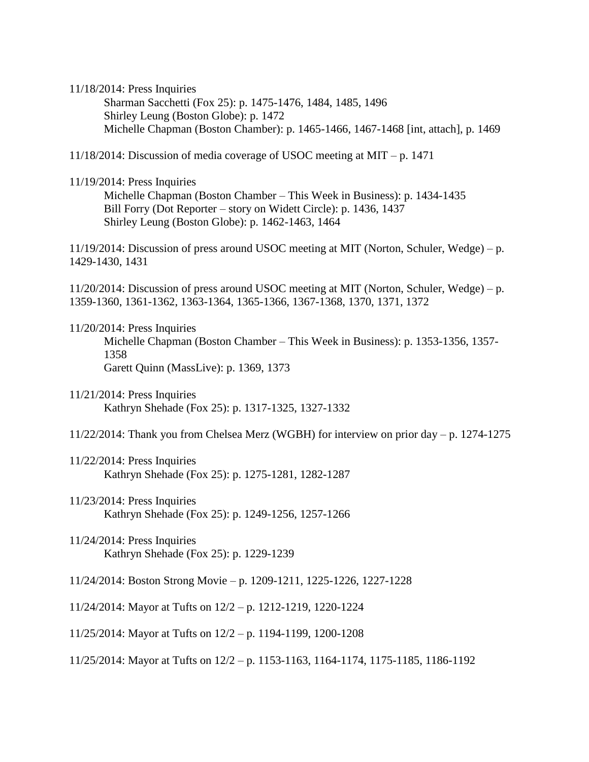11/18/2014: Press Inquiries

Sharman Sacchetti (Fox 25): p. 1475-1476, 1484, 1485, 1496 Shirley Leung (Boston Globe): p. 1472 Michelle Chapman (Boston Chamber): p. 1465-1466, 1467-1468 [int, attach], p. 1469

11/18/2014: Discussion of media coverage of USOC meeting at MIT – p. 1471

11/19/2014: Press Inquiries

Michelle Chapman (Boston Chamber – This Week in Business): p. 1434-1435 Bill Forry (Dot Reporter – story on Widett Circle): p. 1436, 1437 Shirley Leung (Boston Globe): p. 1462-1463, 1464

11/19/2014: Discussion of press around USOC meeting at MIT (Norton, Schuler, Wedge) – p. 1429-1430, 1431

11/20/2014: Discussion of press around USOC meeting at MIT (Norton, Schuler, Wedge) – p. 1359-1360, 1361-1362, 1363-1364, 1365-1366, 1367-1368, 1370, 1371, 1372

11/20/2014: Press Inquiries

Michelle Chapman (Boston Chamber – This Week in Business): p. 1353-1356, 1357- 1358 Garett Quinn (MassLive): p. 1369, 1373

- 11/21/2014: Press Inquiries Kathryn Shehade (Fox 25): p. 1317-1325, 1327-1332
- 11/22/2014: Thank you from Chelsea Merz (WGBH) for interview on prior day p. 1274-1275
- 11/22/2014: Press Inquiries Kathryn Shehade (Fox 25): p. 1275-1281, 1282-1287
- 11/23/2014: Press Inquiries Kathryn Shehade (Fox 25): p. 1249-1256, 1257-1266
- 11/24/2014: Press Inquiries Kathryn Shehade (Fox 25): p. 1229-1239
- 11/24/2014: Boston Strong Movie p. 1209-1211, 1225-1226, 1227-1228
- 11/24/2014: Mayor at Tufts on 12/2 p. 1212-1219, 1220-1224
- 11/25/2014: Mayor at Tufts on 12/2 p. 1194-1199, 1200-1208
- 11/25/2014: Mayor at Tufts on 12/2 p. 1153-1163, 1164-1174, 1175-1185, 1186-1192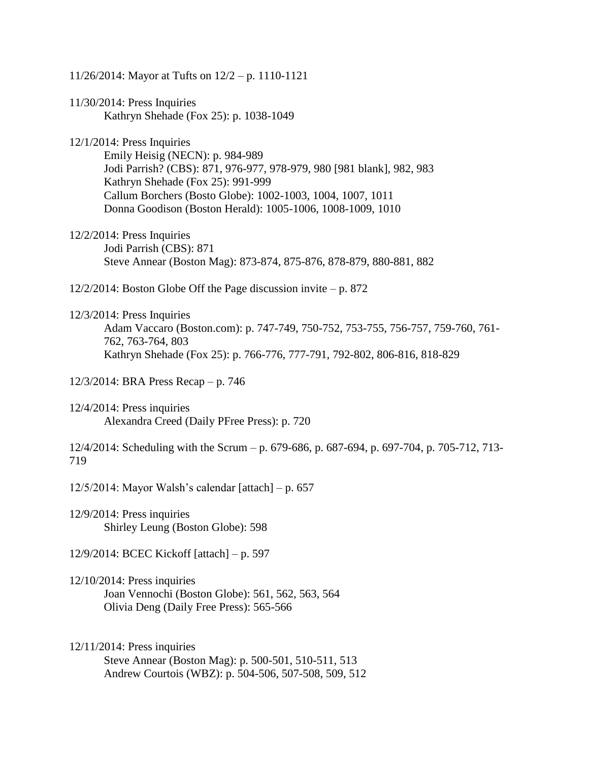| 11/26/2014: Mayor at Tufts on 12/2 - p. 1110-1121                                                                                                                                                                                                                                                          |
|------------------------------------------------------------------------------------------------------------------------------------------------------------------------------------------------------------------------------------------------------------------------------------------------------------|
| $11/30/2014$ : Press Inquiries<br>Kathryn Shehade (Fox 25): p. 1038-1049                                                                                                                                                                                                                                   |
| $12/1/2014$ : Press Inquiries<br>Emily Heisig (NECN): p. 984-989<br>Jodi Parrish? (CBS): 871, 976-977, 978-979, 980 [981 blank], 982, 983<br>Kathryn Shehade (Fox 25): 991-999<br>Callum Borchers (Bosto Globe): 1002-1003, 1004, 1007, 1011<br>Donna Goodison (Boston Herald): 1005-1006, 1008-1009, 1010 |
| $12/2/2014$ : Press Inquiries<br>Jodi Parrish (CBS): 871<br>Steve Annear (Boston Mag): 873-874, 875-876, 878-879, 880-881, 882                                                                                                                                                                             |
| $12/2/2014$ : Boston Globe Off the Page discussion invite – p. 872                                                                                                                                                                                                                                         |
| $12/3/2014$ : Press Inquiries<br>Adam Vaccaro (Boston.com): p. 747-749, 750-752, 753-755, 756-757, 759-760, 761-<br>762, 763-764, 803<br>Kathryn Shehade (Fox 25): p. 766-776, 777-791, 792-802, 806-816, 818-829                                                                                          |
| 12/3/2014: BRA Press Recap – p. 746                                                                                                                                                                                                                                                                        |
| $12/4/2014$ : Press inquiries<br>Alexandra Creed (Daily PFree Press): p. 720                                                                                                                                                                                                                               |
| 12/4/2014: Scheduling with the Scrum – p. 679-686, p. 687-694, p. 697-704, p. 705-712, 713-<br>719                                                                                                                                                                                                         |
| 12/5/2014: Mayor Walsh's calendar [attach] – p. 657                                                                                                                                                                                                                                                        |
| $12/9/2014$ : Press inquiries<br>Shirley Leung (Boston Globe): 598                                                                                                                                                                                                                                         |
| $12/9/2014$ : BCEC Kickoff [attach] – p. 597                                                                                                                                                                                                                                                               |
| $12/10/2014$ : Press inquiries<br>Joan Vennochi (Boston Globe): 561, 562, 563, 564<br>Olivia Deng (Daily Free Press): 565-566                                                                                                                                                                              |
| $12/11/2014$ : Press inquiries<br>Steve Annear (Boston Mag): p. 500-501, 510-511, 513<br>Andrew Courtois (WBZ): p. 504-506, 507-508, 509, 512                                                                                                                                                              |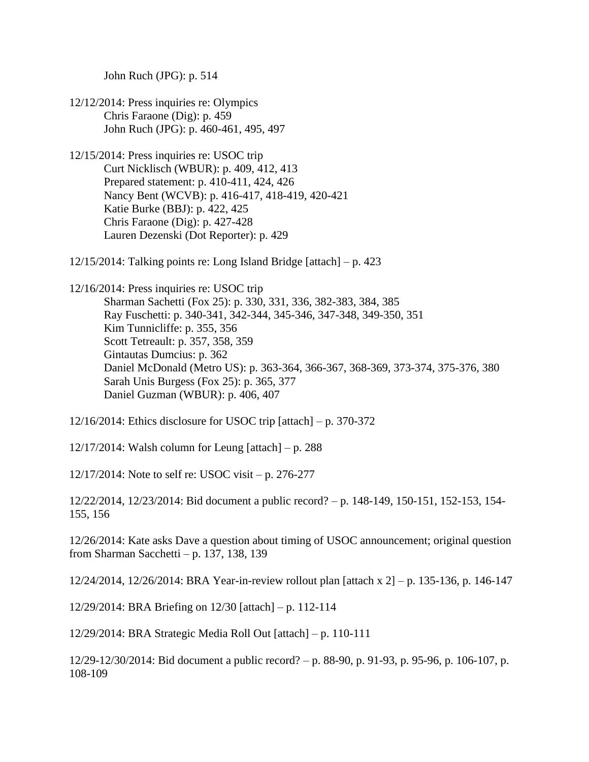John Ruch (JPG): p. 514

- 12/12/2014: Press inquiries re: Olympics Chris Faraone (Dig): p. 459 John Ruch (JPG): p. 460-461, 495, 497
- 12/15/2014: Press inquiries re: USOC trip Curt Nicklisch (WBUR): p. 409, 412, 413 Prepared statement: p. 410-411, 424, 426 Nancy Bent (WCVB): p. 416-417, 418-419, 420-421 Katie Burke (BBJ): p. 422, 425 Chris Faraone (Dig): p. 427-428 Lauren Dezenski (Dot Reporter): p. 429
- 12/15/2014: Talking points re: Long Island Bridge [attach] p. 423

12/16/2014: Press inquiries re: USOC trip Sharman Sachetti (Fox 25): p. 330, 331, 336, 382-383, 384, 385 Ray Fuschetti: p. 340-341, 342-344, 345-346, 347-348, 349-350, 351 Kim Tunnicliffe: p. 355, 356 Scott Tetreault: p. 357, 358, 359 Gintautas Dumcius: p. 362 Daniel McDonald (Metro US): p. 363-364, 366-367, 368-369, 373-374, 375-376, 380 Sarah Unis Burgess (Fox 25): p. 365, 377 Daniel Guzman (WBUR): p. 406, 407

12/16/2014: Ethics disclosure for USOC trip [attach] – p. 370-372

12/17/2014: Walsh column for Leung [attach] – p. 288

12/17/2014: Note to self re: USOC visit – p. 276-277

12/22/2014, 12/23/2014: Bid document a public record? – p. 148-149, 150-151, 152-153, 154- 155, 156

12/26/2014: Kate asks Dave a question about timing of USOC announcement; original question from Sharman Sacchetti – p. 137, 138, 139

12/24/2014, 12/26/2014: BRA Year-in-review rollout plan [attach x 2] – p. 135-136, p. 146-147

12/29/2014: BRA Briefing on 12/30 [attach] – p. 112-114

12/29/2014: BRA Strategic Media Roll Out [attach] – p. 110-111

12/29-12/30/2014: Bid document a public record? – p. 88-90, p. 91-93, p. 95-96, p. 106-107, p. 108-109